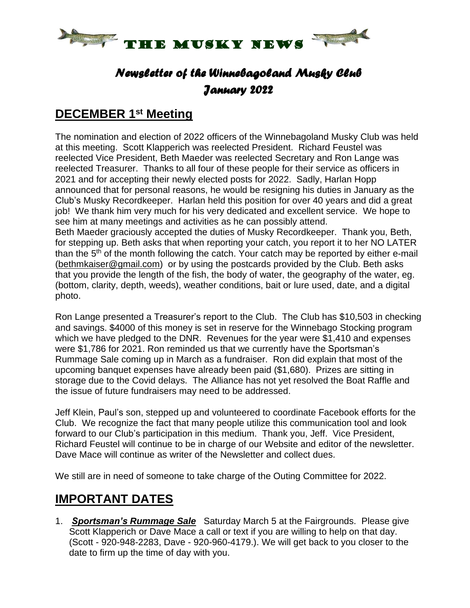

# *Newsletter of the Winnebagoland Musky Club January 2022*

#### **DECEMBER 1 st Meeting**

The nomination and election of 2022 officers of the Winnebagoland Musky Club was held at this meeting. Scott Klapperich was reelected President. Richard Feustel was reelected Vice President, Beth Maeder was reelected Secretary and Ron Lange was reelected Treasurer. Thanks to all four of these people for their service as officers in 2021 and for accepting their newly elected posts for 2022. Sadly, Harlan Hopp announced that for personal reasons, he would be resigning his duties in January as the Club's Musky Recordkeeper. Harlan held this position for over 40 years and did a great job! We thank him very much for his very dedicated and excellent service. We hope to see him at many meetings and activities as he can possibly attend.

Beth Maeder graciously accepted the duties of Musky Recordkeeper. Thank you, Beth, for stepping up. Beth asks that when reporting your catch, you report it to her NO LATER than the 5<sup>th</sup> of the month following the catch. Your catch may be reported by either e-mail [\(bethmkaiser@gmail.com\)](mailto:bethmkaiser@gmail.com) or by using the postcards provided by the Club. Beth asks that you provide the length of the fish, the body of water, the geography of the water, eg. (bottom, clarity, depth, weeds), weather conditions, bait or lure used, date, and a digital photo.

Ron Lange presented a Treasurer's report to the Club. The Club has \$10,503 in checking and savings. \$4000 of this money is set in reserve for the Winnebago Stocking program which we have pledged to the DNR. Revenues for the year were \$1,410 and expenses were \$1,786 for 2021. Ron reminded us that we currently have the Sportsman's Rummage Sale coming up in March as a fundraiser. Ron did explain that most of the upcoming banquet expenses have already been paid (\$1,680). Prizes are sitting in storage due to the Covid delays. The Alliance has not yet resolved the Boat Raffle and the issue of future fundraisers may need to be addressed.

Jeff Klein, Paul's son, stepped up and volunteered to coordinate Facebook efforts for the Club. We recognize the fact that many people utilize this communication tool and look forward to our Club's participation in this medium. Thank you, Jeff. Vice President, Richard Feustel will continue to be in charge of our Website and editor of the newsletter. Dave Mace will continue as writer of the Newsletter and collect dues.

We still are in need of someone to take charge of the Outing Committee for 2022.

# **IMPORTANT DATES**

1. *Sportsman's Rummage Sale* Saturday March 5 at the Fairgrounds. Please give Scott Klapperich or Dave Mace a call or text if you are willing to help on that day. (Scott - 920-948-2283, Dave - 920-960-4179.). We will get back to you closer to the date to firm up the time of day with you.